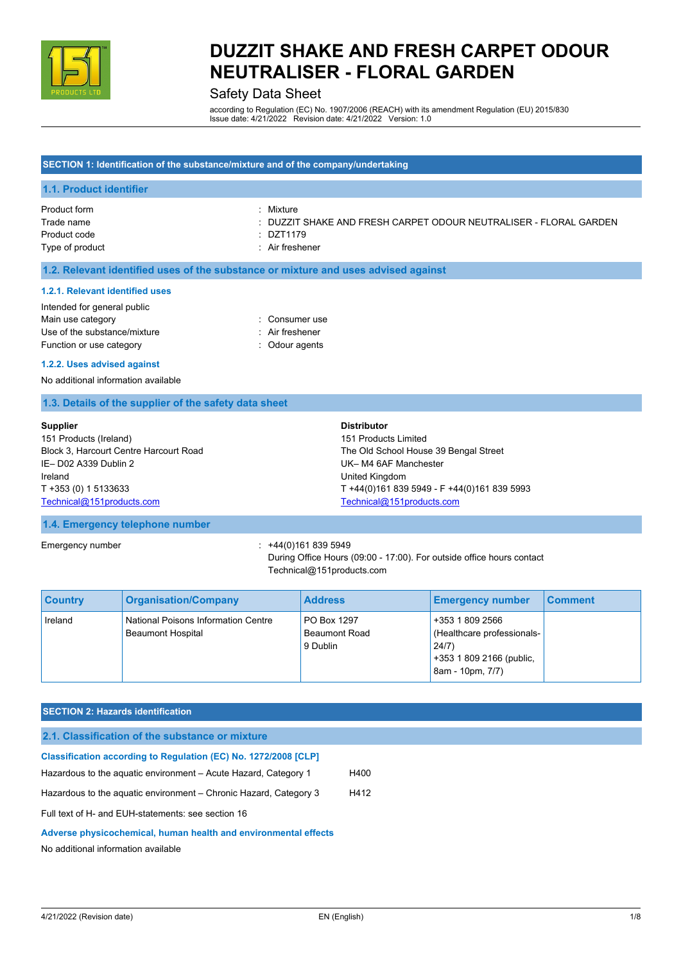

# Safety Data Sheet

according to Regulation (EC) No. 1907/2006 (REACH) with its amendment Regulation (EU) 2015/830 Issue date: 4/21/2022 Revision date: 4/21/2022 Version: 1.0

### **SECTION 1: Identification of the substance/mixture and of the company/undertaking**

#### **1.1. Product identifier**

| Product form    | Mixture                                                           |
|-----------------|-------------------------------------------------------------------|
| Trade name      | : DUZZIT SHAKE AND FRESH CARPET ODOUR NEUTRALISER - FLORAL GARDEN |
| Product code    | : DZT1179                                                         |
| Type of product | : Air freshener                                                   |

### **1.2. Relevant identified uses of the substance or mixture and uses advised against**

#### **1.2.1. Relevant identified uses**

| : Consumer use  |
|-----------------|
| : Air freshener |
| : Odour agents  |
|                 |

#### **1.2.2. Uses advised against**

No additional information available

### **1.3. Details of the supplier of the safety data sheet**

| <b>Supplier</b>                        | <b>Distributor</b>                          |
|----------------------------------------|---------------------------------------------|
| 151 Products (Ireland)                 | 151 Products Limited                        |
| Block 3, Harcourt Centre Harcourt Road | The Old School House 39 Bengal Street       |
| IE-D02 A339 Dublin 2                   | UK-M4 6AF Manchester                        |
| Ireland                                | United Kingdom                              |
| T +353 (0) 1 5133633                   | T +44(0)161 839 5949 - F +44(0)161 839 5993 |
| Technical@151products.com              | Technical@151products.com                   |

## **1.4. Emergency telephone number**

Emergency number : +44(0)161 839 5949

During Office Hours (09:00 - 17:00). For outside office hours contact Technical@151products.com

| <b>Country</b> | <b>Organisation/Company</b>                                     | <b>Address</b>                                  | <b>Emergency number</b>                                                                                | <b>Comment</b> |
|----------------|-----------------------------------------------------------------|-------------------------------------------------|--------------------------------------------------------------------------------------------------------|----------------|
| Ireland        | National Poisons Information Centre<br><b>Beaumont Hospital</b> | PO Box 1297<br><b>Beaumont Road</b><br>9 Dublin | +353 1 809 2566<br>(Healthcare professionals-<br>24/7)<br>+353 1 809 2166 (public,<br>8am - 10pm, 7/7) |                |

## **SECTION 2: Hazards identification**

| 2.1. Classification of the substance or mixture                        |      |
|------------------------------------------------------------------------|------|
| <b>Classification according to Regulation (EC) No. 1272/2008 [CLP]</b> |      |
| Hazardous to the aguatic environment – Acute Hazard, Category 1        | H400 |
| Hazardous to the aquatic environment – Chronic Hazard, Category 3      | H412 |
| Full text of H- and EUH-statements: see section 16                     |      |
| Adverse physicochemical, human health and environmental effects        |      |
| No additional information available                                    |      |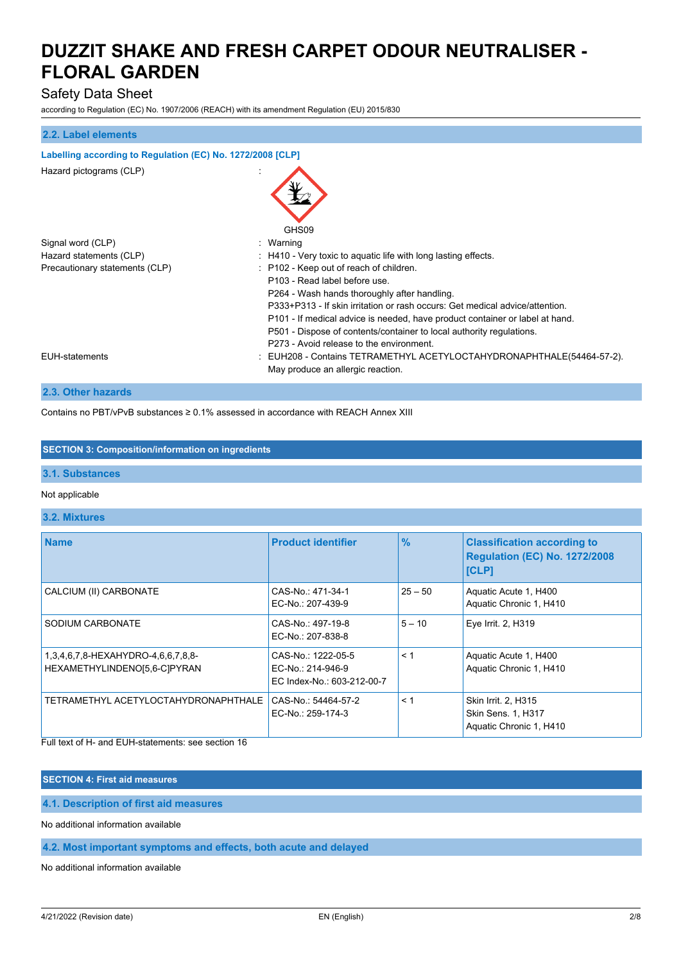# Safety Data Sheet

according to Regulation (EC) No. 1907/2006 (REACH) with its amendment Regulation (EU) 2015/830

# **2.2. Label elements**

| Labelling according to Regulation (EC) No. 1272/2008 [CLP]                     |                                                                                                                                                                                                                                                                                                                                                                                                                                                                                                     |  |  |  |
|--------------------------------------------------------------------------------|-----------------------------------------------------------------------------------------------------------------------------------------------------------------------------------------------------------------------------------------------------------------------------------------------------------------------------------------------------------------------------------------------------------------------------------------------------------------------------------------------------|--|--|--|
| Hazard pictograms (CLP)                                                        |                                                                                                                                                                                                                                                                                                                                                                                                                                                                                                     |  |  |  |
| Signal word (CLP)<br>Hazard statements (CLP)<br>Precautionary statements (CLP) | GHS09<br>: Warning<br>: H410 - Very toxic to aquatic life with long lasting effects.<br>: P102 - Keep out of reach of children.<br>P103 - Read label before use<br>P264 - Wash hands thoroughly after handling.<br>P333+P313 - If skin irritation or rash occurs: Get medical advice/attention.<br>P101 - If medical advice is needed, have product container or label at hand.<br>P501 - Dispose of contents/container to local authority regulations.<br>P273 - Avoid release to the environment. |  |  |  |
| EUH-statements                                                                 | : EUH208 - Contains TETRAMETHYL ACETYLOCTAHYDRONAPHTHALE(54464-57-2).<br>May produce an allergic reaction.                                                                                                                                                                                                                                                                                                                                                                                          |  |  |  |

## **2.3. Other hazards**

Contains no PBT/vPvB substances ≥ 0.1% assessed in accordance with REACH Annex XIII

## **SECTION 3: Composition/information on ingredients**

## **3.1. Substances**

### Not applicable

#### **3.2. Mixtures**

| <b>Name</b>                                                        | <b>Product identifier</b>                                             | $\frac{9}{6}$ | <b>Classification according to</b><br><b>Regulation (EC) No. 1272/2008</b><br>[CLP] |
|--------------------------------------------------------------------|-----------------------------------------------------------------------|---------------|-------------------------------------------------------------------------------------|
| CALCIUM (II) CARBONATE                                             | CAS-No.: 471-34-1<br>EC-No.: 207-439-9                                | $25 - 50$     | Aquatic Acute 1, H400<br>Aquatic Chronic 1, H410                                    |
| SODIUM CARBONATE                                                   | CAS-No.: 497-19-8<br>EC-No.: 207-838-8                                | $5 - 10$      | Eye Irrit. 2, H319                                                                  |
| 1,3,4,6,7,8-HEXAHYDRO-4,6,6,7,8,8-<br>HEXAMETHYLINDENO[5,6-C]PYRAN | CAS-No.: 1222-05-5<br>EC-No.: 214-946-9<br>EC Index-No.: 603-212-00-7 | < 1           | Aquatic Acute 1, H400<br>Aquatic Chronic 1, H410                                    |
| TETRAMETHYL ACETYLOCTAHYDRONAPHTHALE                               | CAS-No.: 54464-57-2<br>EC-No.: 259-174-3                              | < 1           | Skin Irrit. 2, H315<br><b>Skin Sens. 1, H317</b><br>Aquatic Chronic 1, H410         |

Full text of H- and EUH-statements: see section 16

## **SECTION 4: First aid measures**

**4.1. Description of first aid measures**

No additional information available

# **4.2. Most important symptoms and effects, both acute and delayed**

No additional information available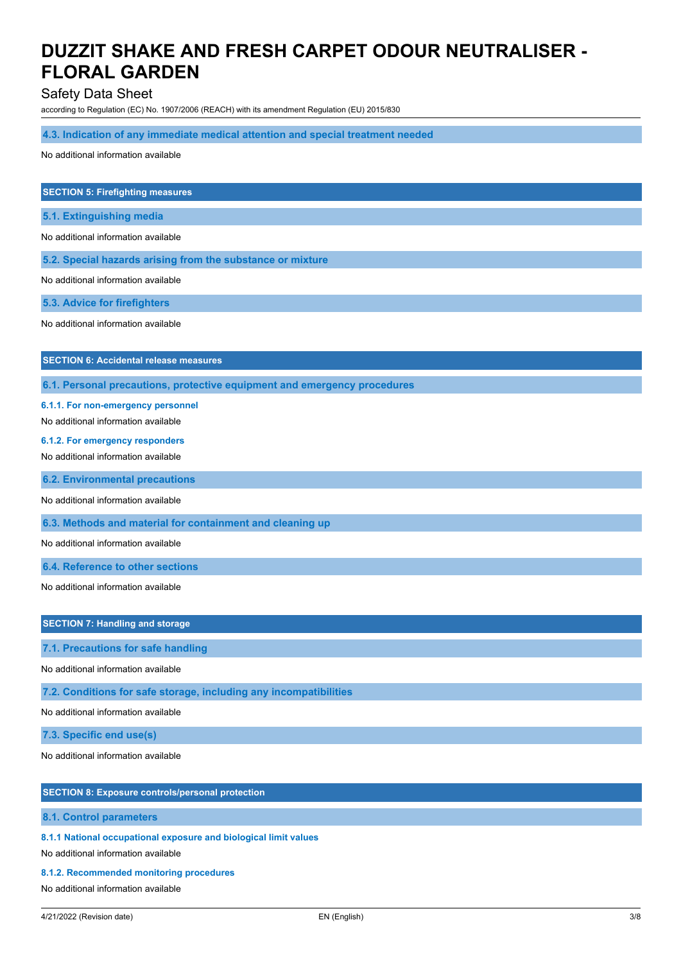# Safety Data Sheet

according to Regulation (EC) No. 1907/2006 (REACH) with its amendment Regulation (EU) 2015/830

### **4.3. Indication of any immediate medical attention and special treatment needed**

No additional information available

#### **SECTION 5: Firefighting measures**

**5.1. Extinguishing media**

No additional information available

**5.2. Special hazards arising from the substance or mixture**

No additional information available

**5.3. Advice for firefighters**

No additional information available

## **SECTION 6: Accidental release measures**

**6.1. Personal precautions, protective equipment and emergency procedures**

#### **6.1.1. For non-emergency personnel**

No additional information available

#### **6.1.2. For emergency responders**

No additional information available

**6.2. Environmental precautions**

No additional information available

**6.3. Methods and material for containment and cleaning up**

No additional information available

**6.4. Reference to other sections**

No additional information available

## **SECTION 7: Handling and storage**

**7.1. Precautions for safe handling**

No additional information available

**7.2. Conditions for safe storage, including any incompatibilities**

No additional information available

**7.3. Specific end use(s)**

No additional information available

## **SECTION 8: Exposure controls/personal protection**

#### **8.1. Control parameters**

**8.1.1 National occupational exposure and biological limit values**

No additional information available

#### **8.1.2. Recommended monitoring procedures**

No additional information available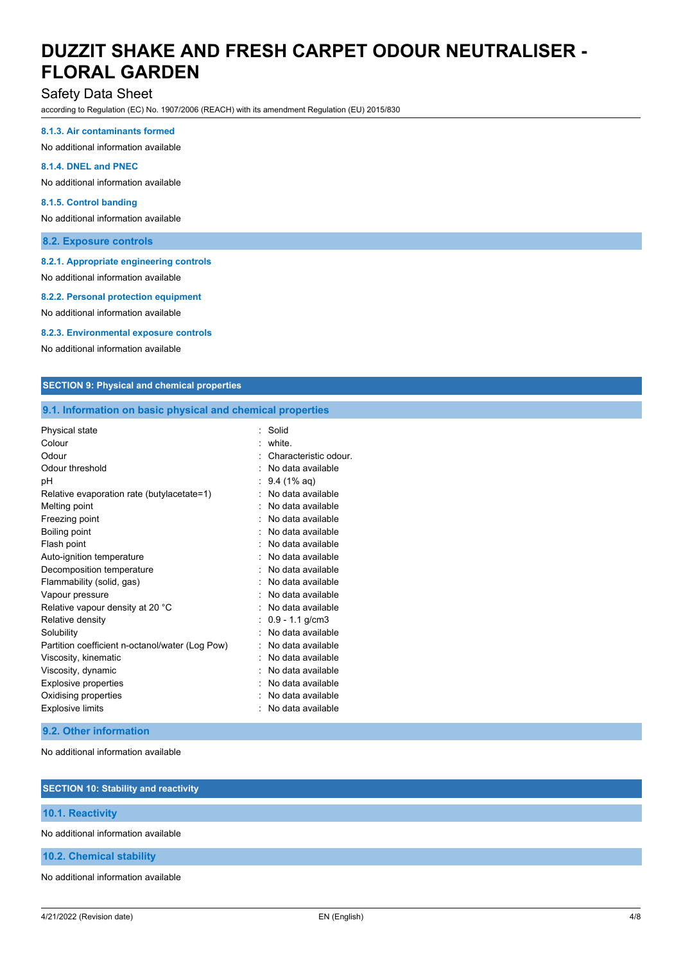# Safety Data Sheet

according to Regulation (EC) No. 1907/2006 (REACH) with its amendment Regulation (EU) 2015/830

#### **8.1.3. Air contaminants formed**

No additional information available

#### **8.1.4. DNEL and PNEC**

No additional information available

#### **8.1.5. Control banding**

No additional information available

### **8.2. Exposure controls**

### **8.2.1. Appropriate engineering controls**

No additional information available

#### **8.2.2. Personal protection equipment**

No additional information available

#### **8.2.3. Environmental exposure controls**

No additional information available

## **SECTION 9: Physical and chemical properties**

### **9.1. Information on basic physical and chemical properties**

| Physical state                                  | Solid                 |
|-------------------------------------------------|-----------------------|
| Colour                                          | white.                |
| Odour                                           | Characteristic odour  |
| Odour threshold                                 | No data available     |
| рH                                              | $9.4(1\% \text{ aq})$ |
| Relative evaporation rate (butylacetate=1)      | No data available     |
| Melting point                                   | No data available     |
| Freezing point                                  | No data available     |
| Boiling point                                   | No data available     |
| Flash point                                     | No data available     |
| Auto-ignition temperature                       | No data available     |
| Decomposition temperature                       | No data available     |
| Flammability (solid, gas)                       | No data available     |
| Vapour pressure                                 | No data available     |
| Relative vapour density at 20 °C                | No data available     |
| Relative density                                | $0.9 - 1.1$ g/cm3     |
| Solubility                                      | No data available     |
| Partition coefficient n-octanol/water (Log Pow) | No data available     |
| Viscosity, kinematic                            | No data available     |
| Viscosity, dynamic                              | No data available     |
| <b>Explosive properties</b>                     | No data available     |
| Oxidising properties                            | No data available     |
| <b>Explosive limits</b>                         | No data available     |

## **9.2. Other information**

No additional information available

# **SECTION 10: Stability and reactivity 10.1. Reactivity** No additional information available **10.2. Chemical stability**

No additional information available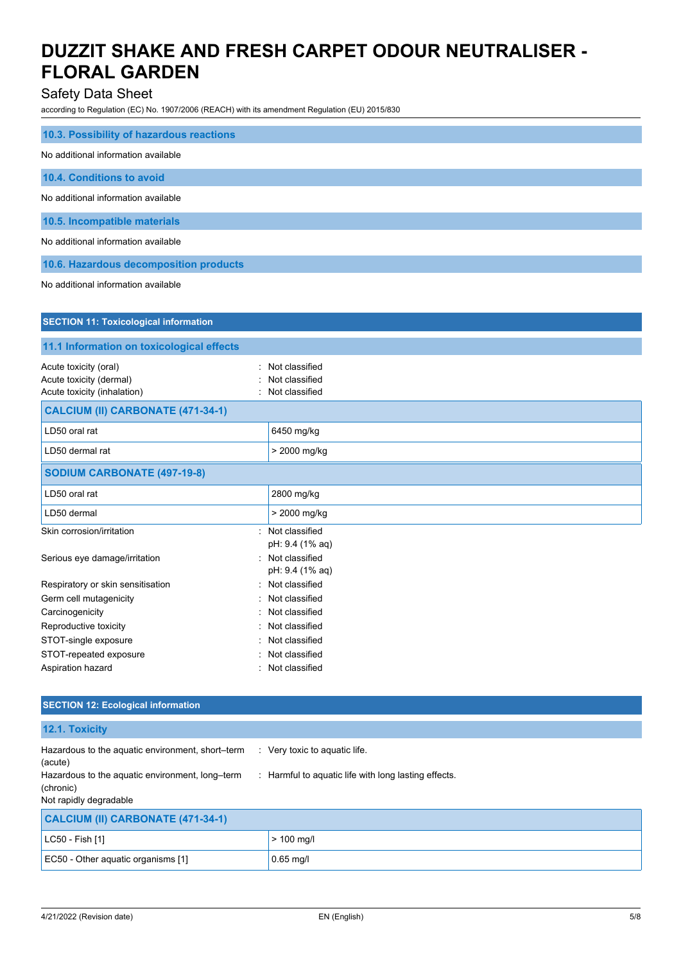# Safety Data Sheet

according to Regulation (EC) No. 1907/2006 (REACH) with its amendment Regulation (EU) 2015/830

| 10.3. Possibility of hazardous reactions |
|------------------------------------------|
| No additional information available      |
| 10.4. Conditions to avoid                |
| No additional information available      |
| 10.5. Incompatible materials             |
| No additional information available      |
| 10.6. Hazardous decomposition products   |

No additional information available

| <b>SECTION 11: Toxicological information</b>                                                                         |                                                    |  |
|----------------------------------------------------------------------------------------------------------------------|----------------------------------------------------|--|
| 11.1 Information on toxicological effects                                                                            |                                                    |  |
| Acute toxicity (oral)<br>Acute toxicity (dermal)<br>Acute toxicity (inhalation)<br>CALCIUM (II) CARBONATE (471-34-1) | Not classified<br>Not classified<br>Not classified |  |
| LD50 oral rat                                                                                                        | 6450 mg/kg                                         |  |
| LD50 dermal rat                                                                                                      | > 2000 mg/kg                                       |  |
| <b>SODIUM CARBONATE (497-19-8)</b>                                                                                   |                                                    |  |
| LD50 oral rat                                                                                                        | 2800 mg/kg                                         |  |
| LD50 dermal                                                                                                          | > 2000 mg/kg                                       |  |
| Skin corrosion/irritation                                                                                            | Not classified<br>pH: 9.4 (1% aq)                  |  |
| Serious eye damage/irritation                                                                                        | Not classified<br>pH: 9.4 (1% aq)                  |  |
| Respiratory or skin sensitisation                                                                                    | Not classified                                     |  |
| Germ cell mutagenicity                                                                                               | Not classified                                     |  |
| Carcinogenicity                                                                                                      | Not classified                                     |  |
| Reproductive toxicity                                                                                                | Not classified                                     |  |
| STOT-single exposure                                                                                                 | Not classified                                     |  |
| STOT-repeated exposure                                                                                               | Not classified                                     |  |
| Aspiration hazard                                                                                                    | Not classified                                     |  |

## **SECTION 12: Ecological information**

**12.1. Toxicity**

| Hazardous to the aquatic environment, short-term<br>(acute)  | Very toxic to aquatic life.                          |
|--------------------------------------------------------------|------------------------------------------------------|
| Hazardous to the aquatic environment, long-term<br>(chronic) | : Harmful to aquatic life with long lasting effects. |
| Not rapidly degradable                                       |                                                      |
| CALCIUM (II) CARBONATE (471-34-1)                            |                                                      |
| LC50 - Fish [1]                                              | $> 100$ mg/l                                         |
| EC50 - Other aquatic organisms [1]                           | $0.65$ mg/l                                          |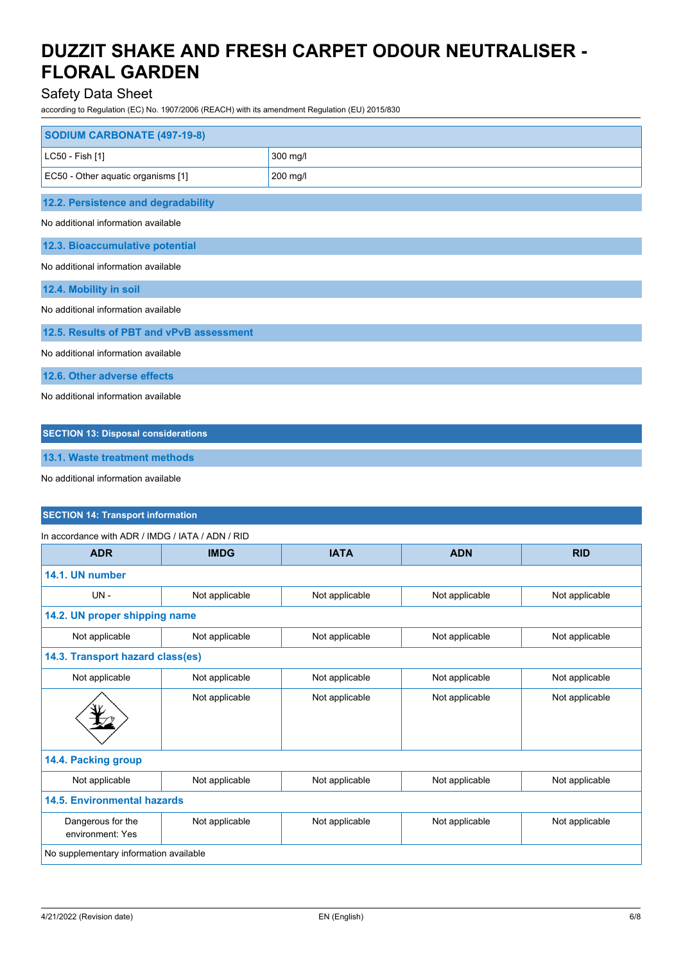# Safety Data Sheet

according to Regulation (EC) No. 1907/2006 (REACH) with its amendment Regulation (EU) 2015/830

| <b>SODIUM CARBONATE (497-19-8)</b>         |          |  |
|--------------------------------------------|----------|--|
| LC50 - Fish [1]                            | 300 mg/l |  |
| EC50 - Other aquatic organisms [1]         | 200 mg/l |  |
| 12.2. Persistence and degradability        |          |  |
| No additional information available        |          |  |
| 12.3. Bioaccumulative potential            |          |  |
| No additional information available        |          |  |
| 12.4. Mobility in soil                     |          |  |
| No additional information available        |          |  |
| 12.5. Results of PBT and vPvB assessment   |          |  |
| No additional information available        |          |  |
| 12.6. Other adverse effects                |          |  |
| No additional information available        |          |  |
| <b>SECTION 13: Disposal considerations</b> |          |  |
| 13.1. Waste treatment methods              |          |  |

No additional information available

# **SECTION 14: Transport information**

| In accordance with ADR / IMDG / IATA / ADN / RID |                |                |                |                |
|--------------------------------------------------|----------------|----------------|----------------|----------------|
| <b>ADR</b>                                       | <b>IMDG</b>    | <b>IATA</b>    | <b>ADN</b>     | <b>RID</b>     |
| 14.1. UN number                                  |                |                |                |                |
| $UN -$                                           | Not applicable | Not applicable | Not applicable | Not applicable |
| 14.2. UN proper shipping name                    |                |                |                |                |
| Not applicable                                   | Not applicable | Not applicable | Not applicable | Not applicable |
| 14.3. Transport hazard class(es)                 |                |                |                |                |
| Not applicable                                   | Not applicable | Not applicable | Not applicable | Not applicable |
|                                                  | Not applicable | Not applicable | Not applicable | Not applicable |
| 14.4. Packing group                              |                |                |                |                |
| Not applicable                                   | Not applicable | Not applicable | Not applicable | Not applicable |
| <b>14.5. Environmental hazards</b>               |                |                |                |                |
| Dangerous for the<br>environment: Yes            | Not applicable | Not applicable | Not applicable | Not applicable |
| No supplementary information available           |                |                |                |                |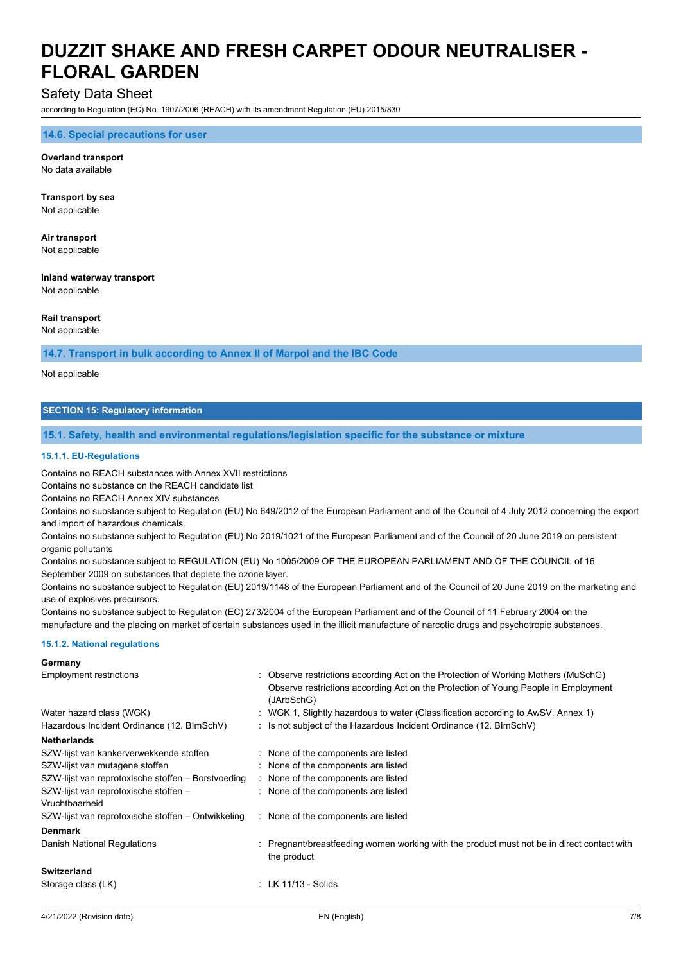# Safety Data Sheet

according to Regulation (EC) No. 1907/2006 (REACH) with its amendment Regulation (EU) 2015/830

#### **14.6. Special precautions for user**

**Overland transport** No data available

**Transport by sea**

Not applicable

**Air transport** Not applicable

**Inland waterway transport** Not applicable

#### **Rail transport**

Not applicable

**14.7. Transport in bulk according to Annex II of Marpol and the IBC Code**

Not applicable

#### **SECTION 15: Regulatory information**

#### **15.1. Safety, health and environmental regulations/legislation specific for the substance or mixture**

#### **15.1.1. EU-Regulations**

Contains no REACH substances with Annex XVII restrictions

Contains no substance on the REACH candidate list

Contains no REACH Annex XIV substances

Contains no substance subject to Regulation (EU) No 649/2012 of the European Parliament and of the Council of 4 July 2012 concerning the export and import of hazardous chemicals.

Contains no substance subject to Regulation (EU) No 2019/1021 of the European Parliament and of the Council of 20 June 2019 on persistent organic pollutants

Contains no substance subject to REGULATION (EU) No 1005/2009 OF THE EUROPEAN PARLIAMENT AND OF THE COUNCIL of 16 September 2009 on substances that deplete the ozone layer.

Contains no substance subject to Regulation (EU) 2019/1148 of the European Parliament and of the Council of 20 June 2019 on the marketing and use of explosives precursors.

Contains no substance subject to Regulation (EC) 273/2004 of the European Parliament and of the Council of 11 February 2004 on the manufacture and the placing on market of certain substances used in the illicit manufacture of narcotic drugs and psychotropic substances.

#### **15.1.2. National regulations**

**Germany**

| : Observe restrictions according Act on the Protection of Working Mothers (MuSchG)<br>Observe restrictions according Act on the Protection of Young People in Employment<br>(JArbSchG) |
|----------------------------------------------------------------------------------------------------------------------------------------------------------------------------------------|
| : WGK 1, Slightly hazardous to water (Classification according to AwSV, Annex 1)                                                                                                       |
| : Is not subject of the Hazardous Incident Ordinance $(12. \text{ BimschV})$                                                                                                           |
|                                                                                                                                                                                        |
| : None of the components are listed                                                                                                                                                    |
| : None of the components are listed                                                                                                                                                    |
| : None of the components are listed                                                                                                                                                    |
| : None of the components are listed                                                                                                                                                    |
|                                                                                                                                                                                        |
| : None of the components are listed                                                                                                                                                    |
|                                                                                                                                                                                        |
| : Pregnant/breastfeeding women working with the product must not be in direct contact with<br>the product                                                                              |
|                                                                                                                                                                                        |
| $:$ LK 11/13 - Solids                                                                                                                                                                  |
|                                                                                                                                                                                        |